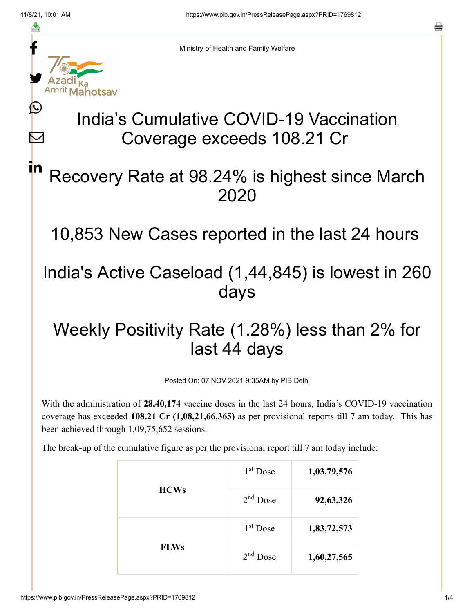≛

 $\bm{\nabla}$ 

in



Ministry of Health and Family Welfare

# India's Cumulative COVID-19 Vaccination Coverage exceeds 108.21 Cr

## Recovery Rate at 98.24% is highest since March 2020

10,853 New Cases reported in the last 24 hours

## India's Active Caseload (1,44,845) is lowest in 260 days

# Weekly Positivity Rate (1.28%) less than 2% for last 44 days

Posted On: 07 NOV 2021 9:35AM by PIB Delhi

With the administration of **28,40,174** vaccine doses in the last 24 hours, India's COVID-19 vaccination coverage has exceeded **108.21 Cr (1,08,21,66,365)** as per provisional reports till 7 am today. This has been achieved through 1,09,75,652 sessions.

The break-up of the cumulative figure as per the provisional report till 7 am today include:

| <b>HCWs</b> | 1 <sup>st</sup> Dose | 1,03,79,576 |
|-------------|----------------------|-------------|
|             | $2nd$ Dose           | 92,63,326   |
| <b>FLWs</b> | $1st$ Dose           | 1,83,72,573 |
|             | $2nd$ Dose           | 1,60,27,565 |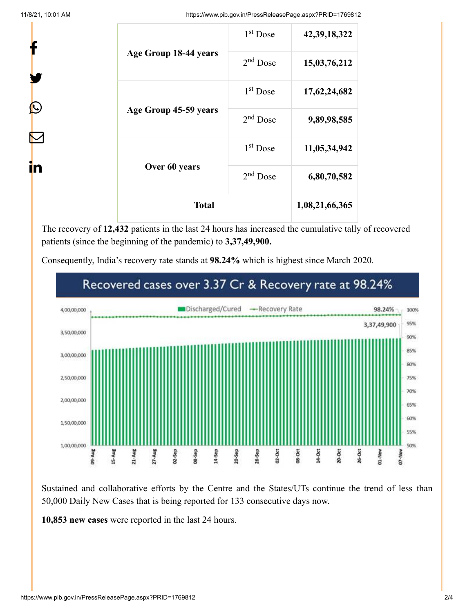f

y.

 $\bm{\mathcal{Q}}$ 

 $\sum$ 

in

11/8/21, 10:01 AM https://www.pib.gov.in/PressReleasePage.aspx?PRID=1769812

1 Dose **42,39,18,322**

2 Dose **15,03,76,212**

1 Dose **17,62,24,682**

2 Dose **9,89,98,585**

1 Dose **11,05,34,942**

2 Dose **6,80,70,582**

**Total 1,08,21,66,365**

|  |                                        | 1 <sup>st</sup> Dose |
|--|----------------------------------------|----------------------|
|  | Age Group 18-44 years                  | $2nd$ Dose           |
|  |                                        | 1 <sup>st</sup> Dose |
|  | Age Group 45-59 years<br>Over 60 years | $2nd$ Dose           |
|  |                                        | 1 <sup>st</sup> Dose |
|  |                                        | $2nd$ Dose           |
|  | <b>Total</b>                           |                      |

The recovery of **12,432** patients in the last 24 hours has increased the cumulative tally of recovered patients (since the beginning of the pandemic) to **3,37,49,900.**

Consequently, India's recovery rate stands at **98.24%** which is highest since March 2020.



Sustained and collaborative efforts by the Centre and the States/UTs continue the trend of less than 50,000 Daily New Cases that is being reported for 133 consecutive days now.

**10,853 new cases** were reported in the last 24 hours.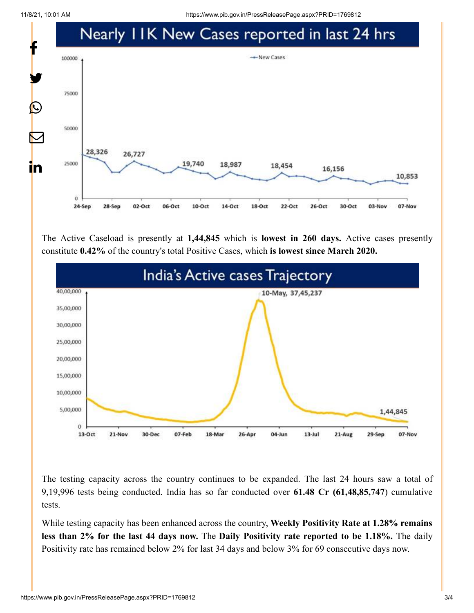11/8/21, 10:01 AM https://www.pib.gov.in/PressReleasePage.aspx?PRID=1769812



The Active Caseload is presently at **1,44,845** which is **lowest in 260 days.** Active cases presently constitute **0.42%** of the country's total Positive Cases, which **is lowest since March 2020.**



The testing capacity across the country continues to be expanded. The last 24 hours saw a total of 9,19,996 tests being conducted. India has so far conducted over **61.48 Cr (61,48,85,747**) cumulative tests.

While testing capacity has been enhanced across the country, **Weekly Positivity Rate at 1.28% remains less than 2% for the last 44 days now.** The **Daily Positivity rate reported to be 1.18%.** The daily Positivity rate has remained below 2% for last 34 days and below 3% for 69 consecutive days now.